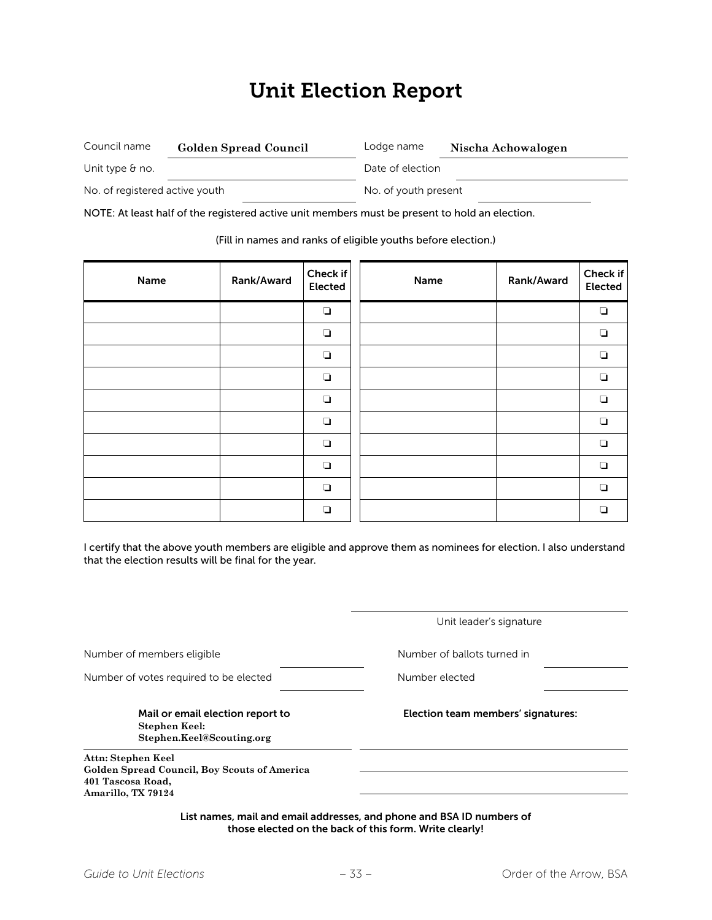### Unit Election Report

| Council name                   | <b>Golden Spread Council</b> | Lodge name       | Nischa Achowalogen   |  |
|--------------------------------|------------------------------|------------------|----------------------|--|
| Unit type $\theta$ no.         |                              | Date of election |                      |  |
| No. of registered active youth |                              |                  | No. of youth present |  |

NOTE: At least half of the registered active unit members must be present to hold an election.

(Fill in names and ranks of eligible youths before election.)

| Name | Rank/Award | Check if<br><b>Elected</b> | Name | Rank/Award | Check if<br><b>Elected</b> |
|------|------------|----------------------------|------|------------|----------------------------|
|      |            | $\Box$                     |      |            | $\Box$                     |
|      |            | $\Box$                     |      |            | $\Box$                     |
|      |            | $\Box$                     |      |            | $\Box$                     |
|      |            | $\Box$                     |      |            | $\Box$                     |
|      |            | $\Box$                     |      |            | $\Box$                     |
|      |            | ❏                          |      |            | $\Box$                     |
|      |            | $\Box$                     |      |            | $\Box$                     |
|      |            | $\Box$                     |      |            | $\Box$                     |
|      |            | $\Box$                     |      |            | $\Box$                     |
|      |            | $\Box$                     |      |            | $\Box$                     |

I certify that the above youth members are eligible and approve them as nominees for election. I also understand that the election results will be final for the year.

|                                                                                                               | Unit leader's signature                                               |  |
|---------------------------------------------------------------------------------------------------------------|-----------------------------------------------------------------------|--|
| Number of members eligible                                                                                    | Number of ballots turned in                                           |  |
| Number of votes required to be elected                                                                        | Number elected                                                        |  |
| Mail or email election report to<br>Stephen Keel:<br>Stephen.Keel@Scouting.org                                | Election team members' signatures:                                    |  |
| Attn: Stephen Keel<br>Golden Spread Council, Boy Scouts of America<br>401 Tascosa Road,<br>Amarillo, TX 79124 |                                                                       |  |
|                                                                                                               | List names, mail and email addresses, and phone and BSA ID numbers of |  |

those elected on the back of this form. Write clearly!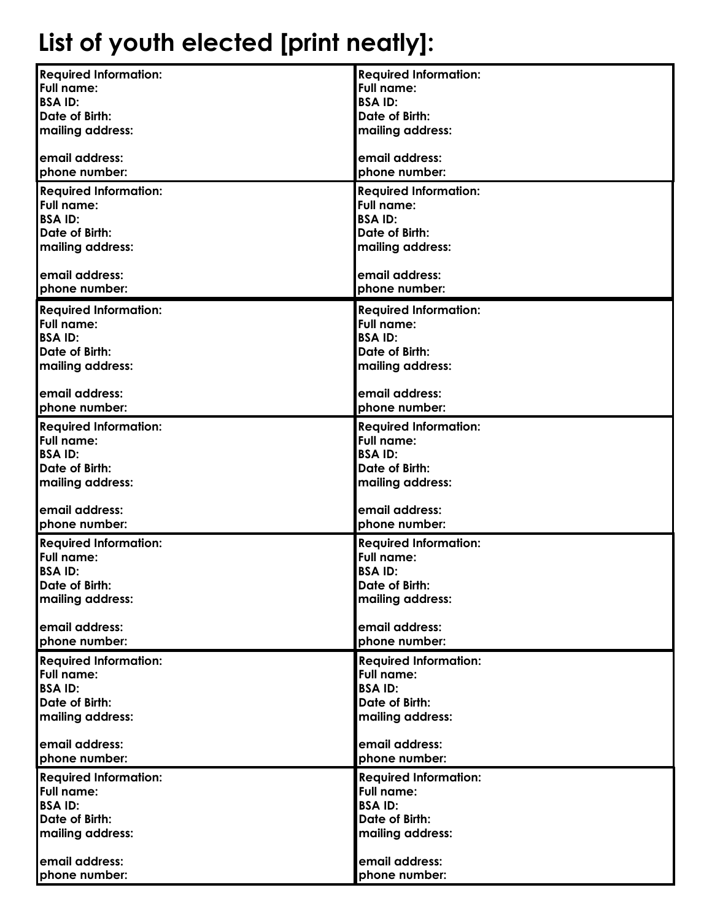# **List of youth elected [print neatly]:**

| <b>Required Information:</b> | <b>Required Information:</b> |
|------------------------------|------------------------------|
| <b>Full name:</b>            | <b>Full name:</b>            |
| <b>BSAID:</b>                | <b>BSAID:</b>                |
| <b>Date of Birth:</b>        | Date of Birth:               |
| mailing address:             | mailing address:             |
|                              |                              |
|                              |                              |
| email address:               | email address:               |
| phone number:                | phone number:                |
| <b>Required Information:</b> | <b>Required Information:</b> |
| <b>Full name:</b>            | <b>Full name:</b>            |
| <b>BSAID:</b>                | <b>BSAID:</b>                |
| <b>Date of Birth:</b>        | <b>Date of Birth:</b>        |
| mailing address:             | mailing address:             |
|                              |                              |
| email address:               | email address:               |
| phone number:                | phone number:                |
|                              |                              |
| <b>Required Information:</b> | <b>Required Information:</b> |
| <b>Full name:</b>            | Full name:                   |
| <b>BSAID:</b>                | <b>BSAID:</b>                |
| <b>Date of Birth:</b>        | Date of Birth:               |
| mailing address:             | mailing address:             |
|                              |                              |
| email address:               | email address:               |
| phone number:                | phone number:                |
| <b>Required Information:</b> | <b>Required Information:</b> |
| <b>Full name:</b>            | <b>Full name:</b>            |
| <b>BSAID:</b>                | <b>BSAID:</b>                |
|                              |                              |
| Date of Birth:               | Date of Birth:               |
| mailing address:             | mailing address:             |
|                              |                              |
| email address:               | email address:               |
| phone number:                | phone number:                |
| <b>Required Information:</b> | <b>Required Information:</b> |
| <b>Full name:</b>            | <b>Full name:</b>            |
| <b>BSAID:</b>                | <b>BSAID:</b>                |
| Date of Birth:               | Date of Birth:               |
| mailing address:             | mailing address:             |
|                              |                              |
| email address:               | email address:               |
| phone number:                | phone number:                |
|                              |                              |
| <b>Required Information:</b> | <b>Required Information:</b> |
| <b>Full name:</b>            | <b>Full name:</b>            |
| <b>BSAID:</b>                | <b>BSAID:</b>                |
| Date of Birth:               | Date of Birth:               |
| mailing address:             | mailing address:             |
|                              |                              |
| email address:               | email address:               |
| phone number:                | phone number:                |
| <b>Required Information:</b> | <b>Required Information:</b> |
| <b>Full name:</b>            | <b>Full name:</b>            |
| <b>BSAID:</b>                | <b>BSAID:</b>                |
| Date of Birth:               | Date of Birth:               |
| mailing address:             | mailing address:             |
|                              |                              |
| email address:               | email address:               |
|                              |                              |
| phone number:                | phone number:                |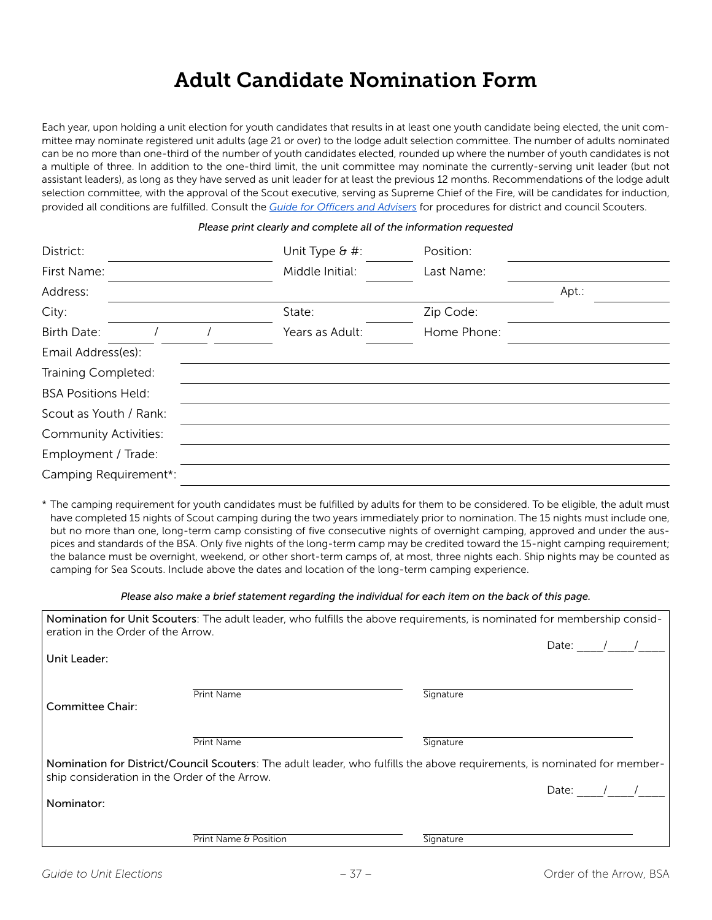#### Adult Candidate Nomination Form

Each year, upon holding a unit election for youth candidates that results in at least one youth candidate being elected, the unit committee may nominate registered unit adults (age 21 or over) to the lodge adult selection committee. The number of adults nominated can be no more than one-third of the number of youth candidates elected, rounded up where the number of youth candidates is not a multiple of three. In addition to the one-third limit, the unit committee may nominate the currently-serving unit leader (but not assistant leaders), as long as they have served as unit leader for at least the previous 12 months. Recommendations of the lodge adult selection committee, with the approval of the Scout executive, serving as Supreme Chief of the Fire, will be candidates for induction, provided all conditions are fulfilled. Consult the *Guide for Officers and Advisers* for procedures for district and council Scouters.

#### *Please print clearly and complete all of the information requested*

| District:                    | Unit Type & #:  | Position:   |       |
|------------------------------|-----------------|-------------|-------|
| First Name:                  | Middle Initial: | Last Name:  |       |
| Address:                     |                 |             | Apt.: |
| City:                        | State:          | Zip Code:   |       |
| <b>Birth Date:</b>           | Years as Adult: | Home Phone: |       |
| Email Address(es):           |                 |             |       |
| Training Completed:          |                 |             |       |
| <b>BSA Positions Held:</b>   |                 |             |       |
| Scout as Youth / Rank:       |                 |             |       |
| <b>Community Activities:</b> |                 |             |       |
| Employment / Trade:          |                 |             |       |
| Camping Requirement*:        |                 |             |       |

\* The camping requirement for youth candidates must be fulfilled by adults for them to be considered. To be eligible, the adult must have completed 15 nights of Scout camping during the two years immediately prior to nomination. The 15 nights must include one, but no more than one, long-term camp consisting of five consecutive nights of overnight camping, approved and under the auspices and standards of the BSA. Only five nights of the long-term camp may be credited toward the 15-night camping requirement; the balance must be overnight, weekend, or other short-term camps of, at most, three nights each. Ship nights may be counted as camping for Sea Scouts. Include above the dates and location of the long-term camping experience.

*Please also make a brief statement regarding the individual for each item on the back of this page.*

| eration in the Order of the Arrow.            | Nomination for Unit Scouters: The adult leader, who fulfills the above requirements, is nominated for membership consid-  |           |  |
|-----------------------------------------------|---------------------------------------------------------------------------------------------------------------------------|-----------|--|
| Unit Leader:                                  |                                                                                                                           | Date:     |  |
| Committee Chair:                              | <b>Print Name</b>                                                                                                         | Signature |  |
|                                               | <b>Print Name</b>                                                                                                         | Signature |  |
| ship consideration in the Order of the Arrow. | Nomination for District/Council Scouters: The adult leader, who fulfills the above requirements, is nominated for member- |           |  |
| Nominator:                                    |                                                                                                                           | Date:     |  |
|                                               | Print Name & Position                                                                                                     | Signature |  |
|                                               |                                                                                                                           |           |  |